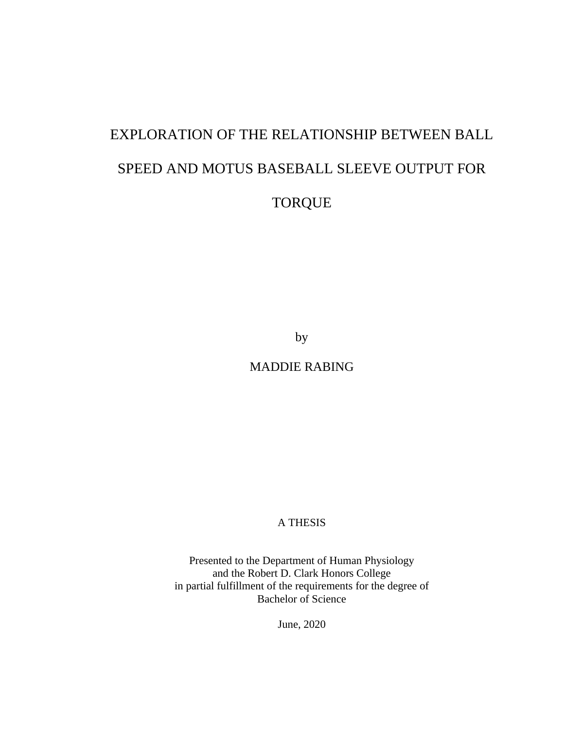# EXPLORATION OF THE RELATIONSHIP BETWEEN BALL SPEED AND MOTUS BASEBALL SLEEVE OUTPUT FOR TORQUE

by

MADDIE RABING

A THESIS

Presented to the Department of Human Physiology and the Robert D. Clark Honors College in partial fulfillment of the requirements for the degree of Bachelor of Science

June, 2020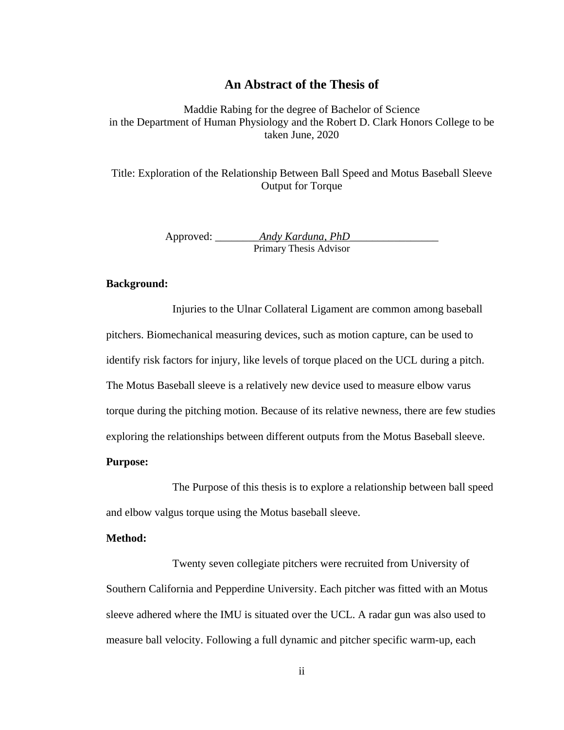### **An Abstract of the Thesis of**

Maddie Rabing for the degree of Bachelor of Science in the Department of Human Physiology and the Robert D. Clark Honors College to be taken June, 2020

Title: Exploration of the Relationship Between Ball Speed and Motus Baseball Sleeve Output for Torque

> Approved: \_\_\_\_\_\_\_\_*Andy Karduna, PhD*\_\_\_\_\_\_\_\_\_\_\_\_\_\_\_\_ Primary Thesis Advisor

### **Background:**

Injuries to the Ulnar Collateral Ligament are common among baseball pitchers. Biomechanical measuring devices, such as motion capture, can be used to identify risk factors for injury, like levels of torque placed on the UCL during a pitch. The Motus Baseball sleeve is a relatively new device used to measure elbow varus torque during the pitching motion. Because of its relative newness, there are few studies exploring the relationships between different outputs from the Motus Baseball sleeve.

### **Purpose:**

The Purpose of this thesis is to explore a relationship between ball speed and elbow valgus torque using the Motus baseball sleeve.

#### **Method:**

Twenty seven collegiate pitchers were recruited from University of Southern California and Pepperdine University. Each pitcher was fitted with an Motus sleeve adhered where the IMU is situated over the UCL. A radar gun was also used to measure ball velocity. Following a full dynamic and pitcher specific warm-up, each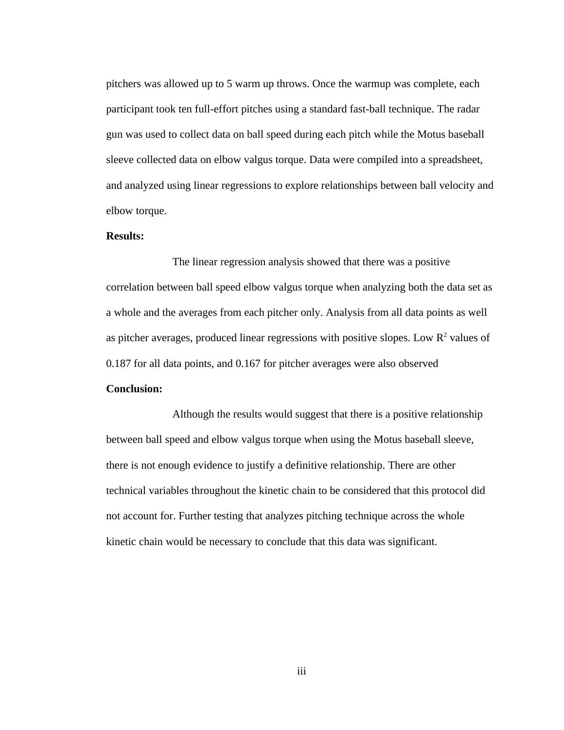pitchers was allowed up to 5 warm up throws. Once the warmup was complete, each participant took ten full-effort pitches using a standard fast-ball technique. The radar gun was used to collect data on ball speed during each pitch while the Motus baseball sleeve collected data on elbow valgus torque. Data were compiled into a spreadsheet, and analyzed using linear regressions to explore relationships between ball velocity and elbow torque.

### **Results:**

The linear regression analysis showed that there was a positive correlation between ball speed elbow valgus torque when analyzing both the data set as a whole and the averages from each pitcher only. Analysis from all data points as well as pitcher averages, produced linear regressions with positive slopes. Low  $R^2$  values of 0.187 for all data points, and 0.167 for pitcher averages were also observed

### **Conclusion:**

Although the results would suggest that there is a positive relationship between ball speed and elbow valgus torque when using the Motus baseball sleeve, there is not enough evidence to justify a definitive relationship. There are other technical variables throughout the kinetic chain to be considered that this protocol did not account for. Further testing that analyzes pitching technique across the whole kinetic chain would be necessary to conclude that this data was significant.

iii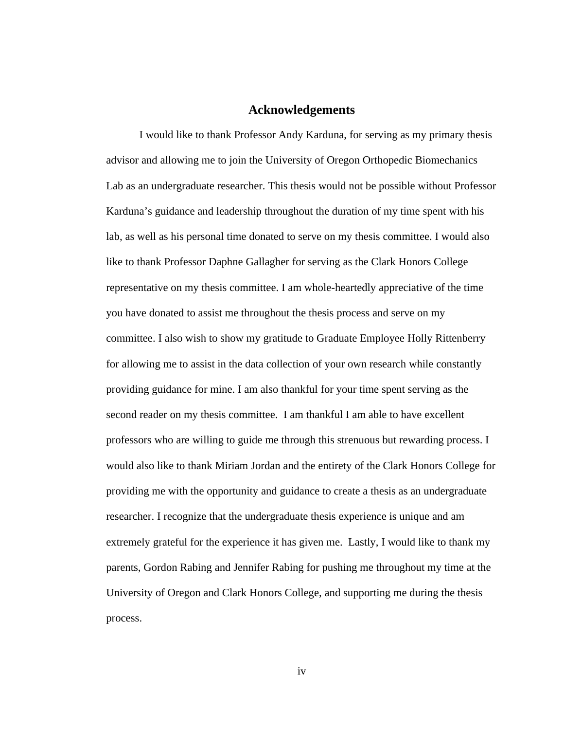### **Acknowledgements**

I would like to thank Professor Andy Karduna, for serving as my primary thesis advisor and allowing me to join the University of Oregon Orthopedic Biomechanics Lab as an undergraduate researcher. This thesis would not be possible without Professor Karduna's guidance and leadership throughout the duration of my time spent with his lab, as well as his personal time donated to serve on my thesis committee. I would also like to thank Professor Daphne Gallagher for serving as the Clark Honors College representative on my thesis committee. I am whole-heartedly appreciative of the time you have donated to assist me throughout the thesis process and serve on my committee. I also wish to show my gratitude to Graduate Employee Holly Rittenberry for allowing me to assist in the data collection of your own research while constantly providing guidance for mine. I am also thankful for your time spent serving as the second reader on my thesis committee. I am thankful I am able to have excellent professors who are willing to guide me through this strenuous but rewarding process. I would also like to thank Miriam Jordan and the entirety of the Clark Honors College for providing me with the opportunity and guidance to create a thesis as an undergraduate researcher. I recognize that the undergraduate thesis experience is unique and am extremely grateful for the experience it has given me. Lastly, I would like to thank my parents, Gordon Rabing and Jennifer Rabing for pushing me throughout my time at the University of Oregon and Clark Honors College, and supporting me during the thesis process.

iv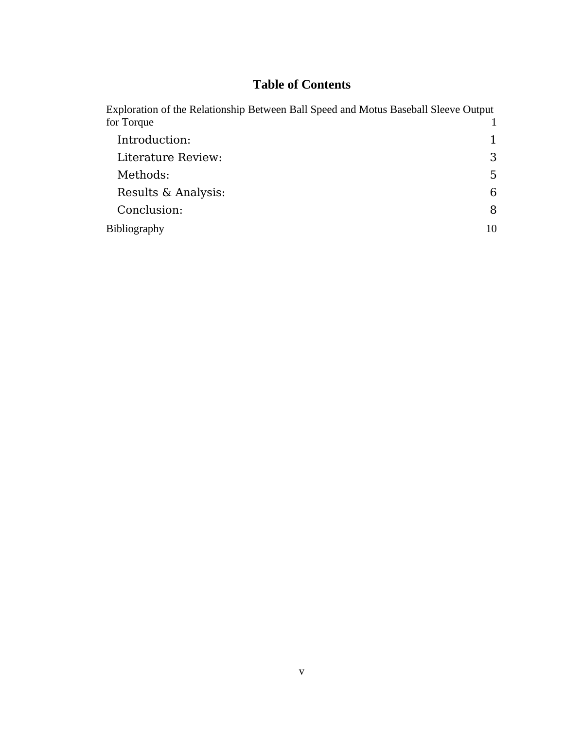### **Table of Contents**

| Exploration of the Relationship Between Ball Speed and Motus Baseball Sleeve Output |    |
|-------------------------------------------------------------------------------------|----|
| for Torque                                                                          |    |
| Introduction:                                                                       |    |
| Literature Review:                                                                  | 3  |
| Methods:                                                                            | 5  |
| Results & Analysis:                                                                 | 6  |
| Conclusion:                                                                         | 8  |
| <b>Bibliography</b>                                                                 | 10 |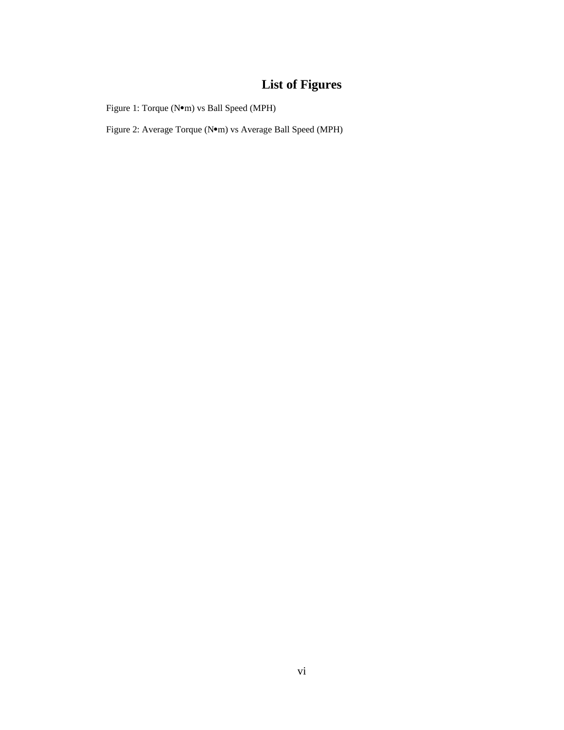### **List of Figures**

Figure 1: Torque (N $\bullet$ m) vs Ball Speed (MPH)

Figure 2: Average Torque (N $\bullet$ m) vs Average Ball Speed (MPH)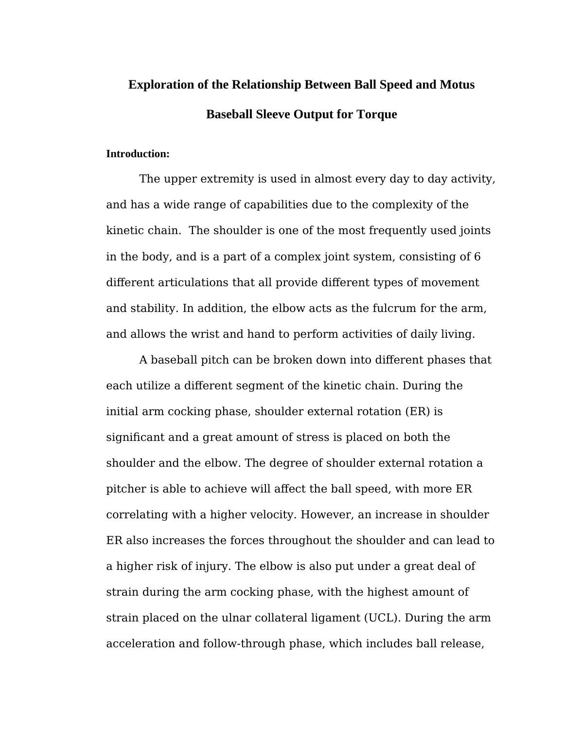## **Exploration of the Relationship Between Ball Speed and Motus Baseball Sleeve Output for Torque**

### **Introduction:**

The upper extremity is used in almost every day to day activity, and has a wide range of capabilities due to the complexity of the kinetic chain. The shoulder is one of the most frequently used joints in the body, and is a part of a complex joint system, consisting of 6 different articulations that all provide different types of movement and stability. In addition, the elbow acts as the fulcrum for the arm, and allows the wrist and hand to perform activities of daily living.

A baseball pitch can be broken down into different phases that each utilize a different segment of the kinetic chain. During the initial arm cocking phase, shoulder external rotation (ER) is significant and a great amount of stress is placed on both the shoulder and the elbow. The degree of shoulder external rotation a pitcher is able to achieve will affect the ball speed, with more ER correlating with a higher velocity. However, an increase in shoulder ER also increases the forces throughout the shoulder and can lead to a higher risk of injury. The elbow is also put under a great deal of strain during the arm cocking phase, with the highest amount of strain placed on the ulnar collateral ligament (UCL). During the arm acceleration and follow-through phase, which includes ball release,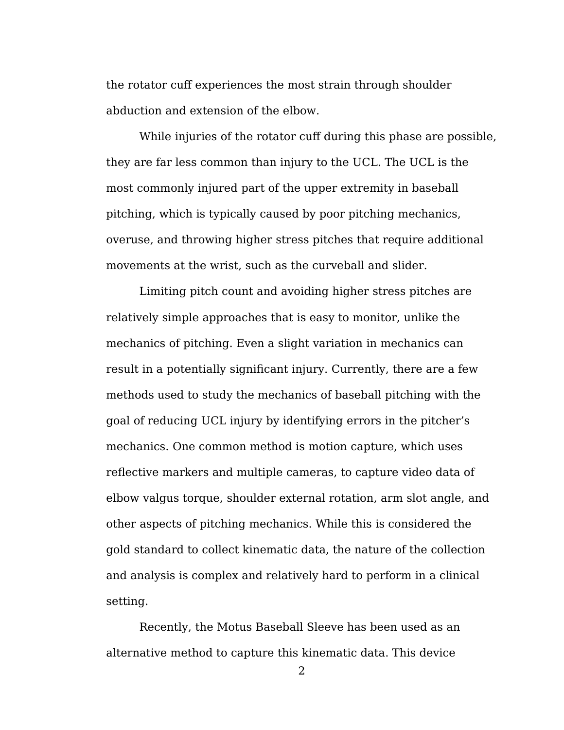the rotator cuff experiences the most strain through shoulder abduction and extension of the elbow.

While injuries of the rotator cuff during this phase are possible, they are far less common than injury to the UCL. The UCL is the most commonly injured part of the upper extremity in baseball pitching, which is typically caused by poor pitching mechanics, overuse, and throwing higher stress pitches that require additional movements at the wrist, such as the curveball and slider.

Limiting pitch count and avoiding higher stress pitches are relatively simple approaches that is easy to monitor, unlike the mechanics of pitching. Even a slight variation in mechanics can result in a potentially significant injury. Currently, there are a few methods used to study the mechanics of baseball pitching with the goal of reducing UCL injury by identifying errors in the pitcher's mechanics. One common method is motion capture, which uses reflective markers and multiple cameras, to capture video data of elbow valgus torque, shoulder external rotation, arm slot angle, and other aspects of pitching mechanics. While this is considered the gold standard to collect kinematic data, the nature of the collection and analysis is complex and relatively hard to perform in a clinical setting.

Recently, the Motus Baseball Sleeve has been used as an alternative method to capture this kinematic data. This device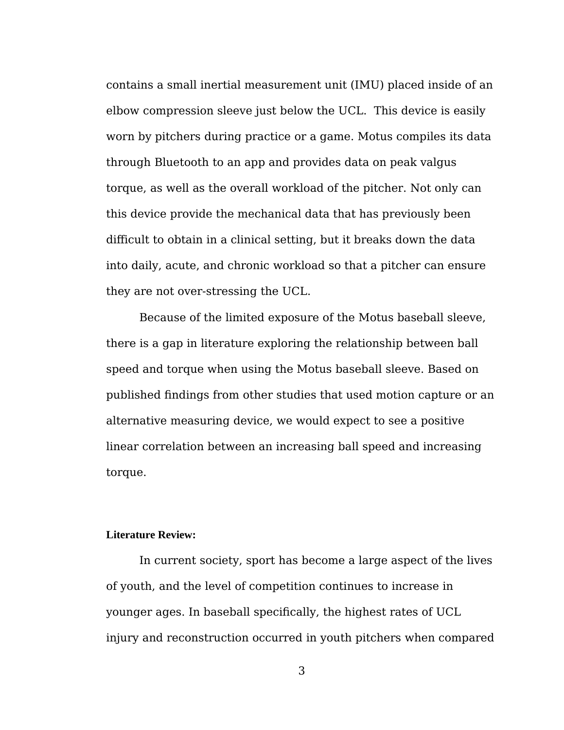contains a small inertial measurement unit (IMU) placed inside of an elbow compression sleeve just below the UCL. This device is easily worn by pitchers during practice or a game. Motus compiles its data through Bluetooth to an app and provides data on peak valgus torque, as well as the overall workload of the pitcher. Not only can this device provide the mechanical data that has previously been difficult to obtain in a clinical setting, but it breaks down the data into daily, acute, and chronic workload so that a pitcher can ensure they are not over-stressing the UCL.

Because of the limited exposure of the Motus baseball sleeve, there is a gap in literature exploring the relationship between ball speed and torque when using the Motus baseball sleeve. Based on published findings from other studies that used motion capture or an alternative measuring device, we would expect to see a positive linear correlation between an increasing ball speed and increasing torque.

### **Literature Review:**

In current society, sport has become a large aspect of the lives of youth, and the level of competition continues to increase in younger ages. In baseball specifically, the highest rates of UCL injury and reconstruction occurred in youth pitchers when compared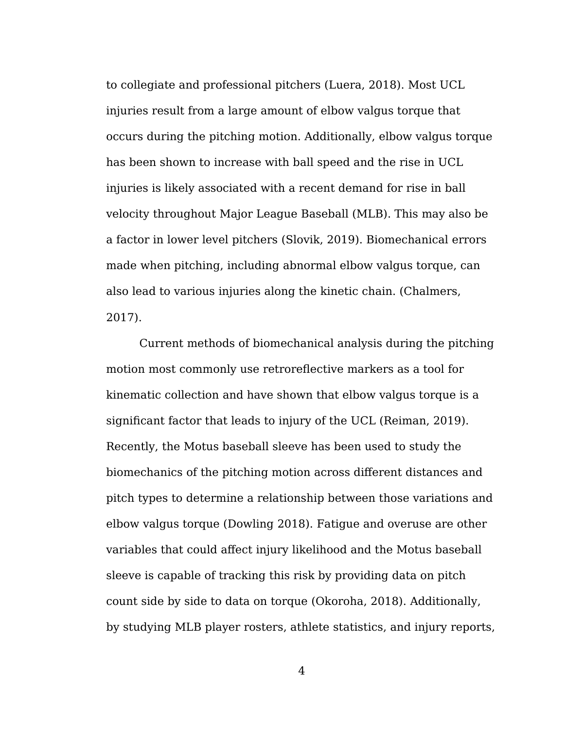to collegiate and professional pitchers (Luera, 2018). Most UCL injuries result from a large amount of elbow valgus torque that occurs during the pitching motion. Additionally, elbow valgus torque has been shown to increase with ball speed and the rise in UCL injuries is likely associated with a recent demand for rise in ball velocity throughout Major League Baseball (MLB). This may also be a factor in lower level pitchers (Slovik, 2019). Biomechanical errors made when pitching, including abnormal elbow valgus torque, can also lead to various injuries along the kinetic chain. (Chalmers, 2017).

Current methods of biomechanical analysis during the pitching motion most commonly use retroreflective markers as a tool for kinematic collection and have shown that elbow valgus torque is a significant factor that leads to injury of the UCL (Reiman, 2019). Recently, the Motus baseball sleeve has been used to study the biomechanics of the pitching motion across different distances and pitch types to determine a relationship between those variations and elbow valgus torque (Dowling 2018). Fatigue and overuse are other variables that could affect injury likelihood and the Motus baseball sleeve is capable of tracking this risk by providing data on pitch count side by side to data on torque (Okoroha, 2018). Additionally, by studying MLB player rosters, athlete statistics, and injury reports,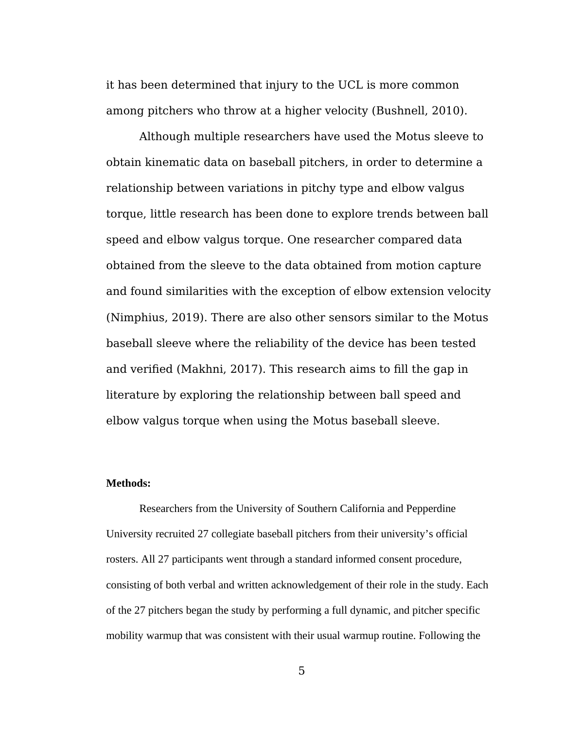it has been determined that injury to the UCL is more common among pitchers who throw at a higher velocity (Bushnell, 2010).

Although multiple researchers have used the Motus sleeve to obtain kinematic data on baseball pitchers, in order to determine a relationship between variations in pitchy type and elbow valgus torque, little research has been done to explore trends between ball speed and elbow valgus torque. One researcher compared data obtained from the sleeve to the data obtained from motion capture and found similarities with the exception of elbow extension velocity (Nimphius, 2019). There are also other sensors similar to the Motus baseball sleeve where the reliability of the device has been tested and verified (Makhni, 2017). This research aims to fill the gap in literature by exploring the relationship between ball speed and elbow valgus torque when using the Motus baseball sleeve.

### **Methods:**

Researchers from the University of Southern California and Pepperdine University recruited 27 collegiate baseball pitchers from their university's official rosters. All 27 participants went through a standard informed consent procedure, consisting of both verbal and written acknowledgement of their role in the study. Each of the 27 pitchers began the study by performing a full dynamic, and pitcher specific mobility warmup that was consistent with their usual warmup routine. Following the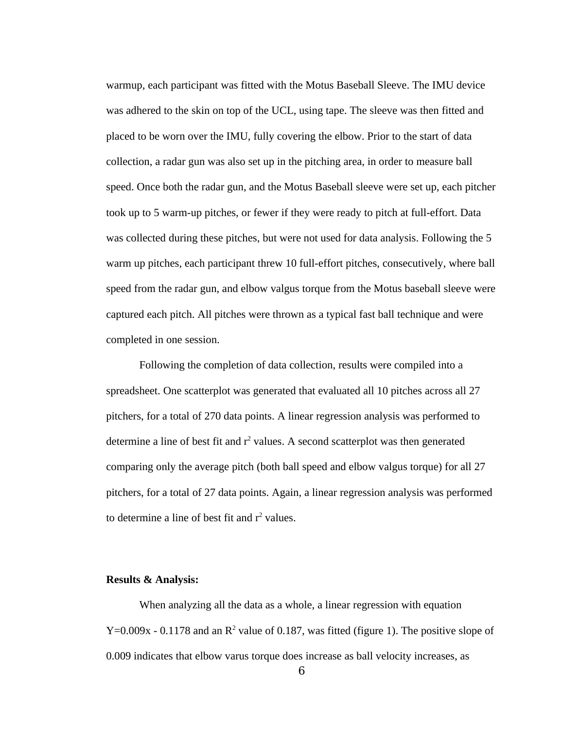warmup, each participant was fitted with the Motus Baseball Sleeve. The IMU device was adhered to the skin on top of the UCL, using tape. The sleeve was then fitted and placed to be worn over the IMU, fully covering the elbow. Prior to the start of data collection, a radar gun was also set up in the pitching area, in order to measure ball speed. Once both the radar gun, and the Motus Baseball sleeve were set up, each pitcher took up to 5 warm-up pitches, or fewer if they were ready to pitch at full-effort. Data was collected during these pitches, but were not used for data analysis. Following the 5 warm up pitches, each participant threw 10 full-effort pitches, consecutively, where ball speed from the radar gun, and elbow valgus torque from the Motus baseball sleeve were captured each pitch. All pitches were thrown as a typical fast ball technique and were completed in one session.

Following the completion of data collection, results were compiled into a spreadsheet. One scatterplot was generated that evaluated all 10 pitches across all 27 pitchers, for a total of 270 data points. A linear regression analysis was performed to determine a line of best fit and  $r^2$  values. A second scatterplot was then generated comparing only the average pitch (both ball speed and elbow valgus torque) for all 27 pitchers, for a total of 27 data points. Again, a linear regression analysis was performed to determine a line of best fit and  $r^2$  values.

### **Results & Analysis:**

When analyzing all the data as a whole, a linear regression with equation  $Y=0.009x$  - 0.1178 and an  $R^2$  value of 0.187, was fitted (figure 1). The positive slope of 0.009 indicates that elbow varus torque does increase as ball velocity increases, as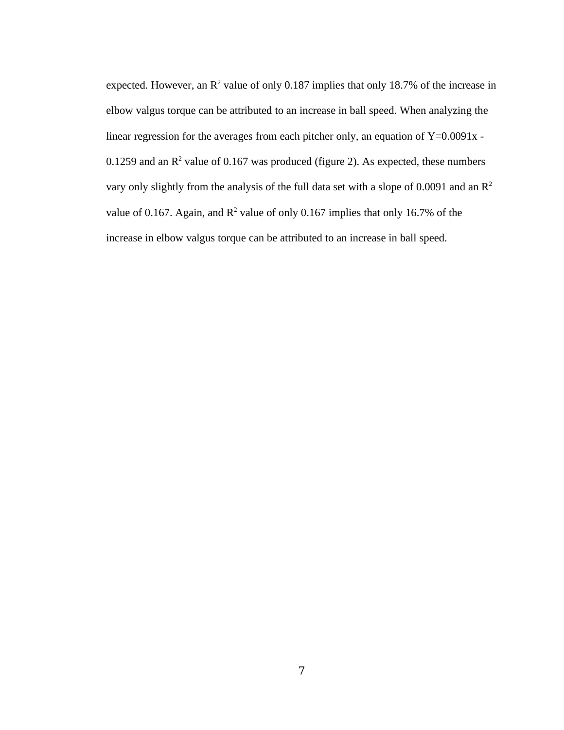expected. However, an  $\mathbb{R}^2$  value of only 0.187 implies that only 18.7% of the increase in elbow valgus torque can be attributed to an increase in ball speed. When analyzing the linear regression for the averages from each pitcher only, an equation of Y=0.0091x - 0.1259 and an  $R^2$  value of 0.167 was produced (figure 2). As expected, these numbers vary only slightly from the analysis of the full data set with a slope of 0.0091 and an  $R^2$ value of 0.167. Again, and  $R^2$  value of only 0.167 implies that only 16.7% of the increase in elbow valgus torque can be attributed to an increase in ball speed.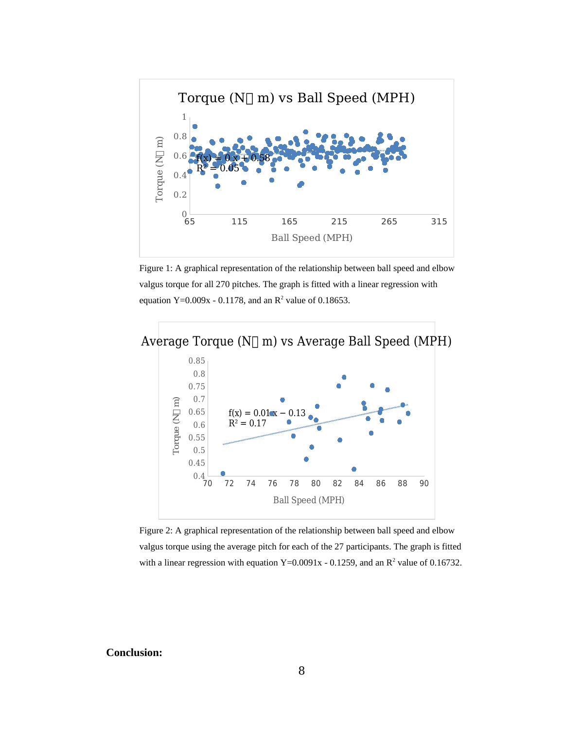

Figure 1: A graphical representation of the relationship between ball speed and elbow valgus torque for all 270 pitches. The graph is fitted with a linear regression with equation  $Y=0.009x - 0.1178$ , and an  $R^2$  value of 0.18653.



Figure 2: A graphical representation of the relationship between ball speed and elbow valgus torque using the average pitch for each of the 27 participants. The graph is fitted with a linear regression with equation  $Y=0.0091x - 0.1259$ , and an  $R^2$  value of 0.16732.

#### **Conclusion:**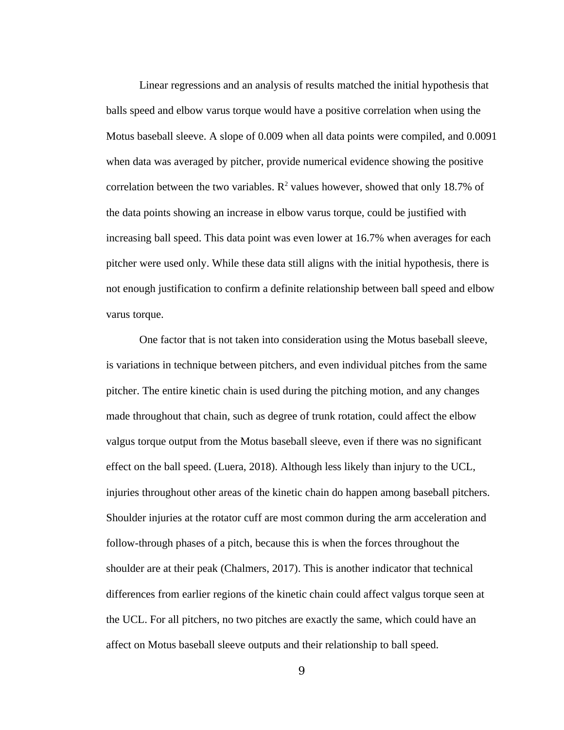Linear regressions and an analysis of results matched the initial hypothesis that balls speed and elbow varus torque would have a positive correlation when using the Motus baseball sleeve. A slope of 0.009 when all data points were compiled, and 0.0091 when data was averaged by pitcher, provide numerical evidence showing the positive correlation between the two variables.  $R^2$  values however, showed that only 18.7% of the data points showing an increase in elbow varus torque, could be justified with increasing ball speed. This data point was even lower at 16.7% when averages for each pitcher were used only. While these data still aligns with the initial hypothesis, there is not enough justification to confirm a definite relationship between ball speed and elbow varus torque.

One factor that is not taken into consideration using the Motus baseball sleeve, is variations in technique between pitchers, and even individual pitches from the same pitcher. The entire kinetic chain is used during the pitching motion, and any changes made throughout that chain, such as degree of trunk rotation, could affect the elbow valgus torque output from the Motus baseball sleeve, even if there was no significant effect on the ball speed. (Luera, 2018). Although less likely than injury to the UCL, injuries throughout other areas of the kinetic chain do happen among baseball pitchers. Shoulder injuries at the rotator cuff are most common during the arm acceleration and follow-through phases of a pitch, because this is when the forces throughout the shoulder are at their peak (Chalmers, 2017). This is another indicator that technical differences from earlier regions of the kinetic chain could affect valgus torque seen at the UCL. For all pitchers, no two pitches are exactly the same, which could have an affect on Motus baseball sleeve outputs and their relationship to ball speed.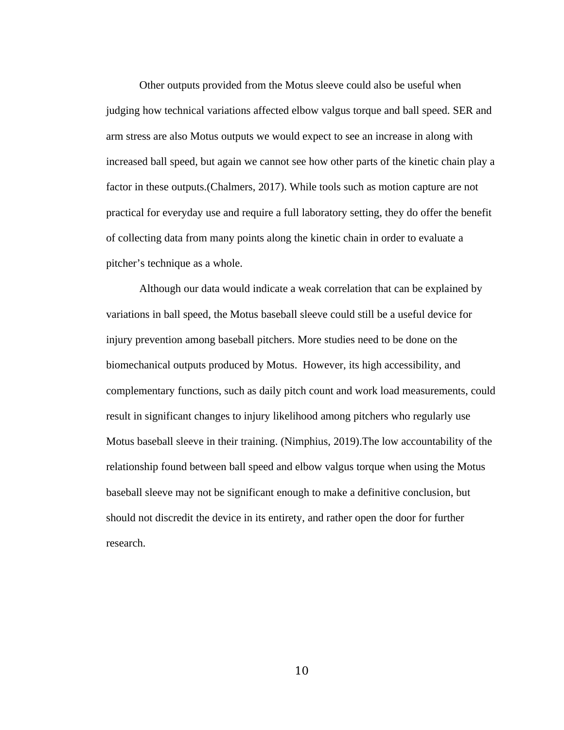Other outputs provided from the Motus sleeve could also be useful when judging how technical variations affected elbow valgus torque and ball speed. SER and arm stress are also Motus outputs we would expect to see an increase in along with increased ball speed, but again we cannot see how other parts of the kinetic chain play a factor in these outputs.(Chalmers, 2017). While tools such as motion capture are not practical for everyday use and require a full laboratory setting, they do offer the benefit of collecting data from many points along the kinetic chain in order to evaluate a pitcher's technique as a whole.

Although our data would indicate a weak correlation that can be explained by variations in ball speed, the Motus baseball sleeve could still be a useful device for injury prevention among baseball pitchers. More studies need to be done on the biomechanical outputs produced by Motus. However, its high accessibility, and complementary functions, such as daily pitch count and work load measurements, could result in significant changes to injury likelihood among pitchers who regularly use Motus baseball sleeve in their training. (Nimphius, 2019).The low accountability of the relationship found between ball speed and elbow valgus torque when using the Motus baseball sleeve may not be significant enough to make a definitive conclusion, but should not discredit the device in its entirety, and rather open the door for further research.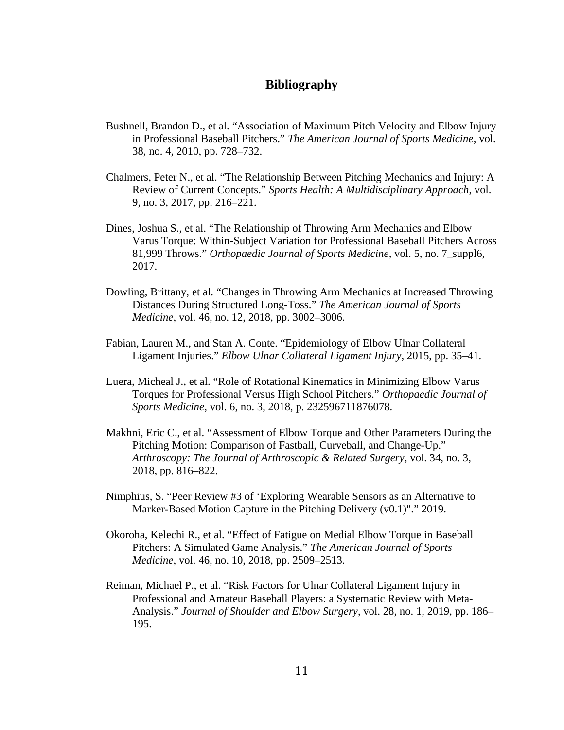### **Bibliography**

- Bushnell, Brandon D., et al. "Association of Maximum Pitch Velocity and Elbow Injury in Professional Baseball Pitchers." *The American Journal of Sports Medicine*, vol. 38, no. 4, 2010, pp. 728–732.
- Chalmers, Peter N., et al. "The Relationship Between Pitching Mechanics and Injury: A Review of Current Concepts." *Sports Health: A Multidisciplinary Approach*, vol. 9, no. 3, 2017, pp. 216–221.
- Dines, Joshua S., et al. "The Relationship of Throwing Arm Mechanics and Elbow Varus Torque: Within-Subject Variation for Professional Baseball Pitchers Across 81,999 Throws." *Orthopaedic Journal of Sports Medicine*, vol. 5, no. 7\_suppl6, 2017.
- Dowling, Brittany, et al. "Changes in Throwing Arm Mechanics at Increased Throwing Distances During Structured Long-Toss." *The American Journal of Sports Medicine*, vol. 46, no. 12, 2018, pp. 3002–3006.
- Fabian, Lauren M., and Stan A. Conte. "Epidemiology of Elbow Ulnar Collateral Ligament Injuries." *Elbow Ulnar Collateral Ligament Injury*, 2015, pp. 35–41.
- Luera, Micheal J., et al. "Role of Rotational Kinematics in Minimizing Elbow Varus Torques for Professional Versus High School Pitchers." *Orthopaedic Journal of Sports Medicine*, vol. 6, no. 3, 2018, p. 232596711876078.
- Makhni, Eric C., et al. "Assessment of Elbow Torque and Other Parameters During the Pitching Motion: Comparison of Fastball, Curveball, and Change-Up." *Arthroscopy: The Journal of Arthroscopic & Related Surgery*, vol. 34, no. 3, 2018, pp. 816–822.
- Nimphius, S. "Peer Review #3 of 'Exploring Wearable Sensors as an Alternative to Marker-Based Motion Capture in the Pitching Delivery (v0.1)"." 2019.
- Okoroha, Kelechi R., et al. "Effect of Fatigue on Medial Elbow Torque in Baseball Pitchers: A Simulated Game Analysis." *The American Journal of Sports Medicine*, vol. 46, no. 10, 2018, pp. 2509–2513.
- Reiman, Michael P., et al. "Risk Factors for Ulnar Collateral Ligament Injury in Professional and Amateur Baseball Players: a Systematic Review with Meta-Analysis." *Journal of Shoulder and Elbow Surgery*, vol. 28, no. 1, 2019, pp. 186– 195.